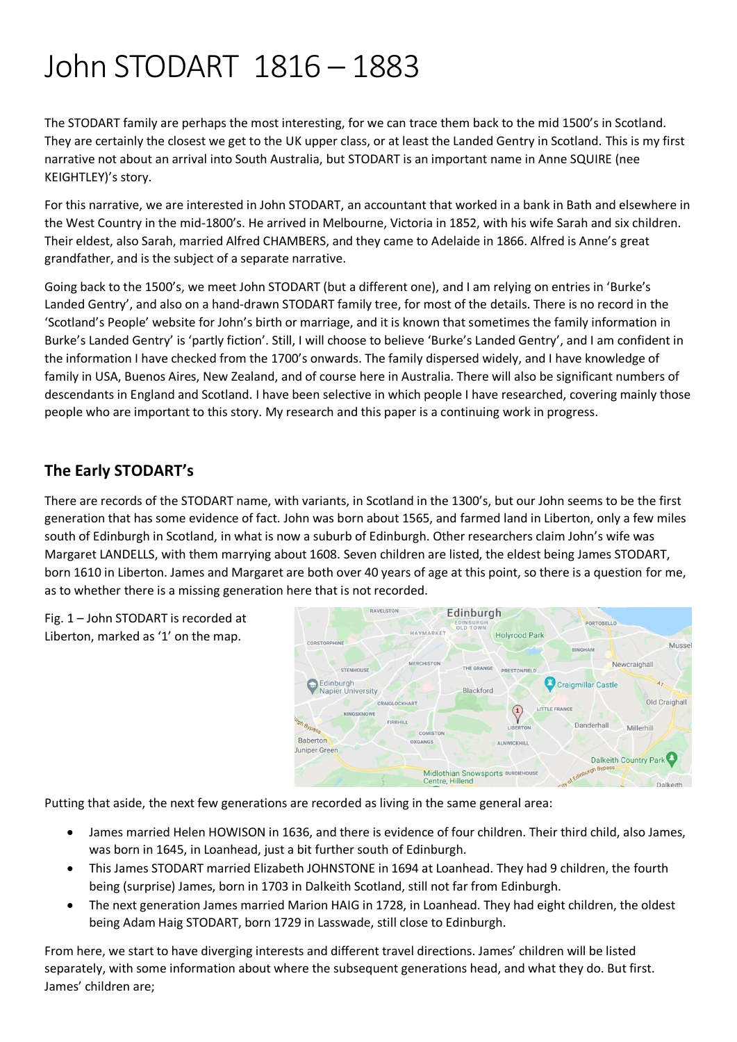# John STODART 1816 – 1883

The STODART family are perhaps the most interesting, for we can trace them back to the mid 1500's in Scotland. They are certainly the closest we get to the UK upper class, or at least the Landed Gentry in Scotland. This is my first narrative not about an arrival into South Australia, but STODART is an important name in Anne SQUIRE (nee KEIGHTLEY)'s story.

For this narrative, we are interested in John STODART, an accountant that worked in a bank in Bath and elsewhere in the West Country in the mid-1800's. He arrived in Melbourne, Victoria in 1852, with his wife Sarah and six children. Their eldest, also Sarah, married Alfred CHAMBERS, and they came to Adelaide in 1866. Alfred is Anne's great grandfather, and is the subject of a separate narrative.

Going back to the 1500's, we meet John STODART (but a different one), and I am relying on entries in 'Burke's Landed Gentry', and also on a hand-drawn STODART family tree, for most of the details. There is no record in the 'Scotland's People' website for John's birth or marriage, and it is known that sometimes the family information in Burke's Landed Gentry' is 'partly fiction'. Still, I will choose to believe 'Burke's Landed Gentry', and I am confident in the information I have checked from the 1700's onwards. The family dispersed widely, and I have knowledge of family in USA, Buenos Aires, New Zealand, and of course here in Australia. There will also be significant numbers of descendants in England and Scotland. I have been selective in which people I have researched, covering mainly those people who are important to this story. My research and this paper is a continuing work in progress.

### **The Early STODART's**

There are records of the STODART name, with variants, in Scotland in the 1300's, but our John seems to be the first generation that has some evidence of fact. John was born about 1565, and farmed land in Liberton, only a few miles south of Edinburgh in Scotland, in what is now a suburb of Edinburgh. Other researchers claim John's wife was Margaret LANDELLS, with them marrying about 1608. Seven children are listed, the eldest being James STODART, born 1610 in Liberton. James and Margaret are both over 40 years of age at this point, so there is a question for me, as to whether there is a missing generation here that is not recorded.





Putting that aside, the next few generations are recorded as living in the same general area:

- James married Helen HOWISON in 1636, and there is evidence of four children. Their third child, also James, was born in 1645, in Loanhead, just a bit further south of Edinburgh.
- This James STODART married Elizabeth JOHNSTONE in 1694 at Loanhead. They had 9 children, the fourth being (surprise) James, born in 1703 in Dalkeith Scotland, still not far from Edinburgh.
- The next generation James married Marion HAIG in 1728, in Loanhead. They had eight children, the oldest being Adam Haig STODART, born 1729 in Lasswade, still close to Edinburgh.

From here, we start to have diverging interests and different travel directions. James' children will be listed separately, with some information about where the subsequent generations head, and what they do. But first. James' children are;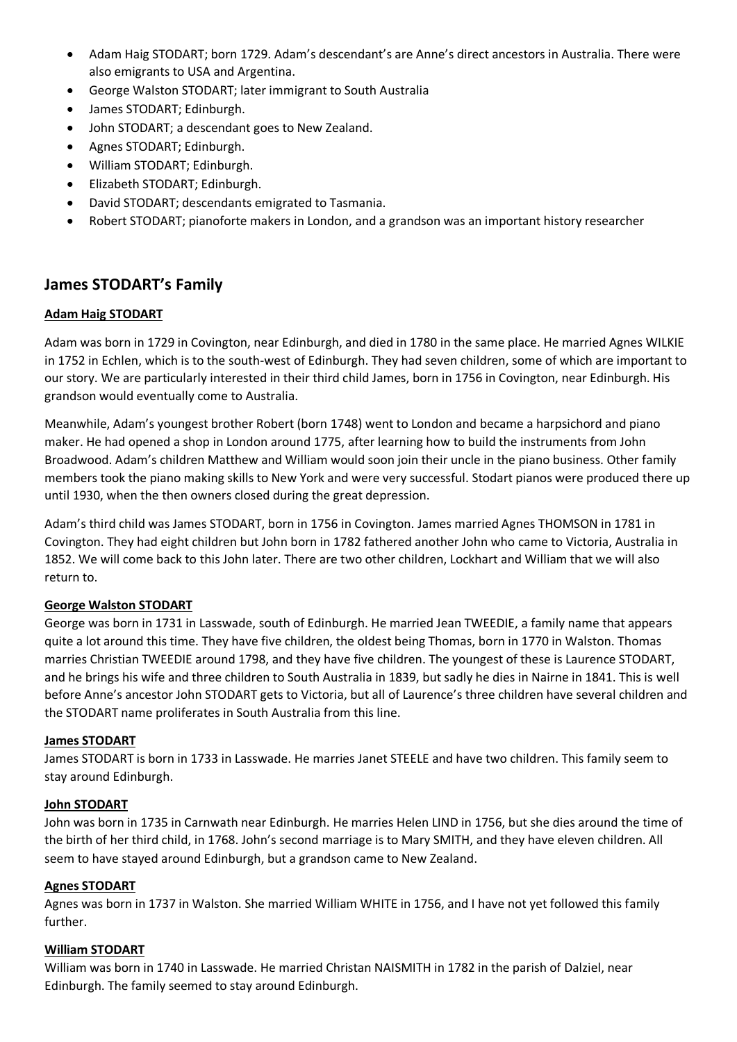- Adam Haig STODART; born 1729. Adam's descendant's are Anne's direct ancestors in Australia. There were also emigrants to USA and Argentina.
- George Walston STODART; later immigrant to South Australia
- James STODART; Edinburgh.
- John STODART; a descendant goes to New Zealand.
- Agnes STODART; Edinburgh.
- William STODART; Edinburgh.
- Elizabeth STODART; Edinburgh.
- David STODART; descendants emigrated to Tasmania.
- Robert STODART; pianoforte makers in London, and a grandson was an important history researcher

#### **James STODART's Family**

#### **Adam Haig STODART**

Adam was born in 1729 in Covington, near Edinburgh, and died in 1780 in the same place. He married Agnes WILKIE in 1752 in Echlen, which is to the south-west of Edinburgh. They had seven children, some of which are important to our story. We are particularly interested in their third child James, born in 1756 in Covington, near Edinburgh. His grandson would eventually come to Australia.

Meanwhile, Adam's youngest brother Robert (born 1748) went to London and became a harpsichord and piano maker. He had opened a shop in London around 1775, after learning how to build the instruments from John Broadwood. Adam's children Matthew and William would soon join their uncle in the piano business. Other family members took the piano making skills to New York and were very successful. Stodart pianos were produced there up until 1930, when the then owners closed during the great depression.

Adam's third child was James STODART, born in 1756 in Covington. James married Agnes THOMSON in 1781 in Covington. They had eight children but John born in 1782 fathered another John who came to Victoria, Australia in 1852. We will come back to this John later. There are two other children, Lockhart and William that we will also return to.

#### **George Walston STODART**

George was born in 1731 in Lasswade, south of Edinburgh. He married Jean TWEEDIE, a family name that appears quite a lot around this time. They have five children, the oldest being Thomas, born in 1770 in Walston. Thomas marries Christian TWEEDIE around 1798, and they have five children. The youngest of these is Laurence STODART, and he brings his wife and three children to South Australia in 1839, but sadly he dies in Nairne in 1841. This is well before Anne's ancestor John STODART gets to Victoria, but all of Laurence's three children have several children and the STODART name proliferates in South Australia from this line.

#### **James STODART**

James STODART is born in 1733 in Lasswade. He marries Janet STEELE and have two children. This family seem to stay around Edinburgh.

#### **John STODART**

John was born in 1735 in Carnwath near Edinburgh. He marries Helen LIND in 1756, but she dies around the time of the birth of her third child, in 1768. John's second marriage is to Mary SMITH, and they have eleven children. All seem to have stayed around Edinburgh, but a grandson came to New Zealand.

#### **Agnes STODART**

Agnes was born in 1737 in Walston. She married William WHITE in 1756, and I have not yet followed this family further.

#### **William STODART**

William was born in 1740 in Lasswade. He married Christan NAISMITH in 1782 in the parish of Dalziel, near Edinburgh. The family seemed to stay around Edinburgh.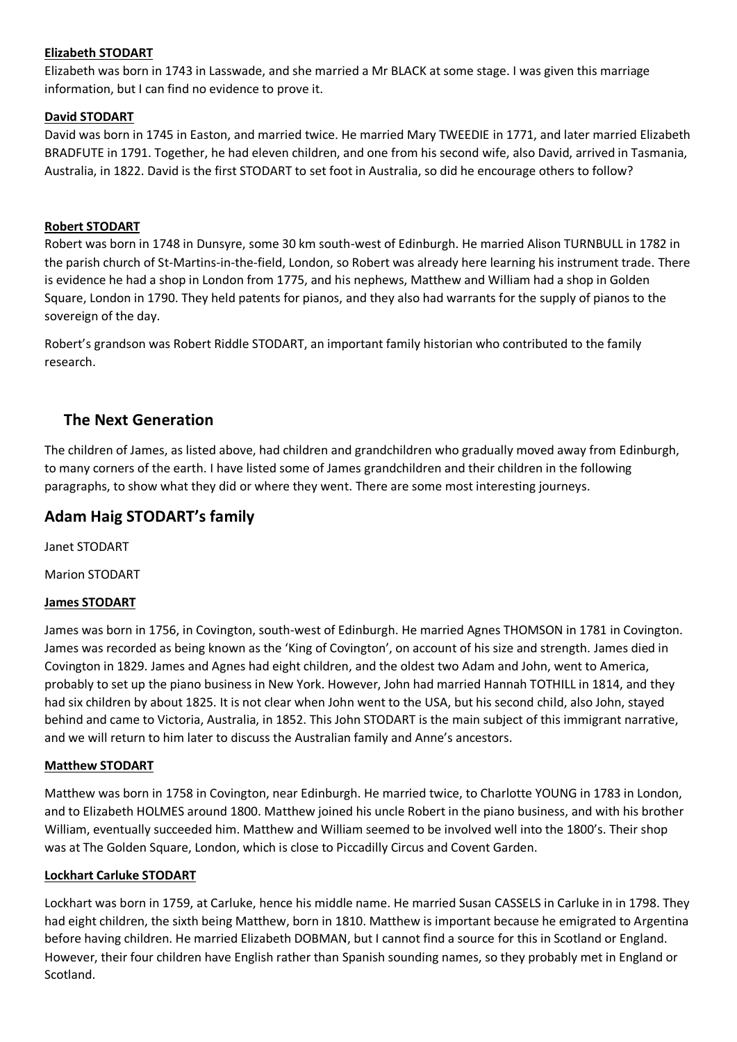#### **Elizabeth STODART**

Elizabeth was born in 1743 in Lasswade, and she married a Mr BLACK at some stage. I was given this marriage information, but I can find no evidence to prove it.

#### **David STODART**

David was born in 1745 in Easton, and married twice. He married Mary TWEEDIE in 1771, and later married Elizabeth BRADFUTE in 1791. Together, he had eleven children, and one from his second wife, also David, arrived in Tasmania, Australia, in 1822. David is the first STODART to set foot in Australia, so did he encourage others to follow?

#### **Robert STODART**

Robert was born in 1748 in Dunsyre, some 30 km south-west of Edinburgh. He married Alison TURNBULL in 1782 in the parish church of St-Martins-in-the-field, London, so Robert was already here learning his instrument trade. There is evidence he had a shop in London from 1775, and his nephews, Matthew and William had a shop in Golden Square, London in 1790. They held patents for pianos, and they also had warrants for the supply of pianos to the sovereign of the day.

Robert's grandson was Robert Riddle STODART, an important family historian who contributed to the family research.

#### **The Next Generation**

The children of James, as listed above, had children and grandchildren who gradually moved away from Edinburgh, to many corners of the earth. I have listed some of James grandchildren and their children in the following paragraphs, to show what they did or where they went. There are some most interesting journeys.

#### **Adam Haig STODART's family**

Janet STODART

Marion STODART

#### **James STODART**

James was born in 1756, in Covington, south-west of Edinburgh. He married Agnes THOMSON in 1781 in Covington. James was recorded as being known as the 'King of Covington', on account of his size and strength. James died in Covington in 1829. James and Agnes had eight children, and the oldest two Adam and John, went to America, probably to set up the piano business in New York. However, John had married Hannah TOTHILL in 1814, and they had six children by about 1825. It is not clear when John went to the USA, but his second child, also John, stayed behind and came to Victoria, Australia, in 1852. This John STODART is the main subject of this immigrant narrative, and we will return to him later to discuss the Australian family and Anne's ancestors.

#### **Matthew STODART**

Matthew was born in 1758 in Covington, near Edinburgh. He married twice, to Charlotte YOUNG in 1783 in London, and to Elizabeth HOLMES around 1800. Matthew joined his uncle Robert in the piano business, and with his brother William, eventually succeeded him. Matthew and William seemed to be involved well into the 1800's. Their shop was at The Golden Square, London, which is close to Piccadilly Circus and Covent Garden.

#### **Lockhart Carluke STODART**

Lockhart was born in 1759, at Carluke, hence his middle name. He married Susan CASSELS in Carluke in in 1798. They had eight children, the sixth being Matthew, born in 1810. Matthew is important because he emigrated to Argentina before having children. He married Elizabeth DOBMAN, but I cannot find a source for this in Scotland or England. However, their four children have English rather than Spanish sounding names, so they probably met in England or Scotland.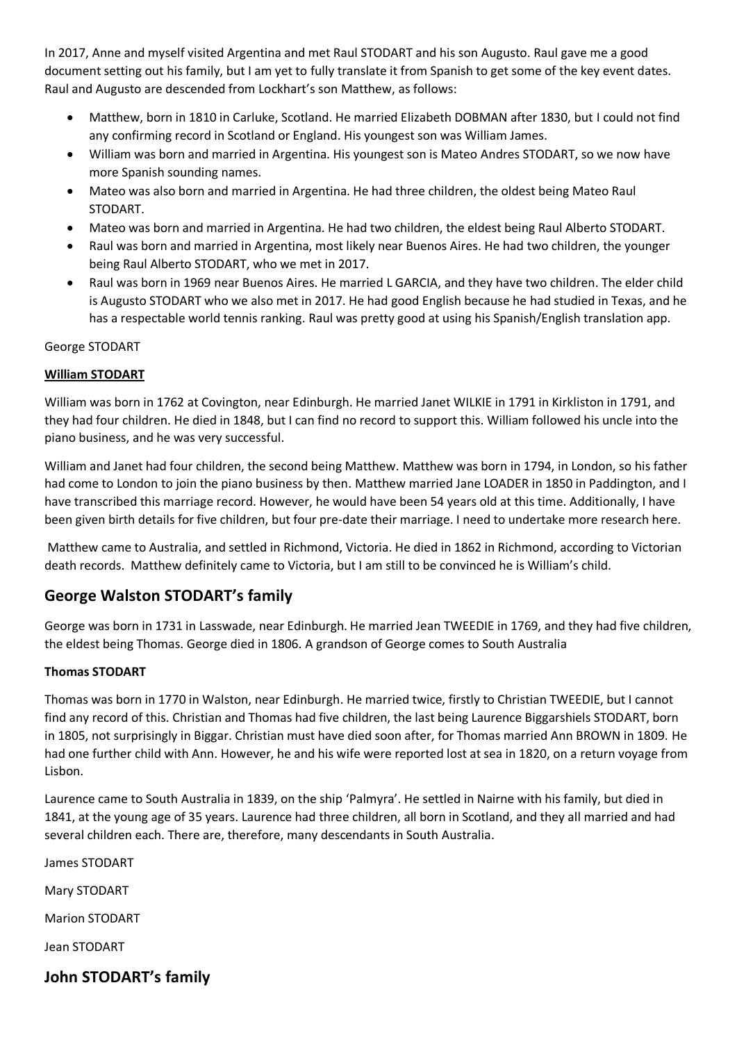In 2017, Anne and myself visited Argentina and met Raul STODART and his son Augusto. Raul gave me a good document setting out his family, but I am yet to fully translate it from Spanish to get some of the key event dates. Raul and Augusto are descended from Lockhart's son Matthew, as follows:

- Matthew, born in 1810 in Carluke, Scotland. He married Elizabeth DOBMAN after 1830, but I could not find any confirming record in Scotland or England. His youngest son was William James.
- William was born and married in Argentina. His youngest son is Mateo Andres STODART, so we now have more Spanish sounding names.
- Mateo was also born and married in Argentina. He had three children, the oldest being Mateo Raul STODART.
- Mateo was born and married in Argentina. He had two children, the eldest being Raul Alberto STODART.
- Raul was born and married in Argentina, most likely near Buenos Aires. He had two children, the younger being Raul Alberto STODART, who we met in 2017.
- Raul was born in 1969 near Buenos Aires. He married L GARCIA, and they have two children. The elder child is Augusto STODART who we also met in 2017. He had good English because he had studied in Texas, and he has a respectable world tennis ranking. Raul was pretty good at using his Spanish/English translation app.

#### George STODART

#### **William STODART**

William was born in 1762 at Covington, near Edinburgh. He married Janet WILKIE in 1791 in Kirkliston in 1791, and they had four children. He died in 1848, but I can find no record to support this. William followed his uncle into the piano business, and he was very successful.

William and Janet had four children, the second being Matthew. Matthew was born in 1794, in London, so his father had come to London to join the piano business by then. Matthew married Jane LOADER in 1850 in Paddington, and I have transcribed this marriage record. However, he would have been 54 years old at this time. Additionally, I have been given birth details for five children, but four pre-date their marriage. I need to undertake more research here.

Matthew came to Australia, and settled in Richmond, Victoria. He died in 1862 in Richmond, according to Victorian death records. Matthew definitely came to Victoria, but I am still to be convinced he is William's child.

#### **George Walston STODART's family**

George was born in 1731 in Lasswade, near Edinburgh. He married Jean TWEEDIE in 1769, and they had five children, the eldest being Thomas. George died in 1806. A grandson of George comes to South Australia

#### **Thomas STODART**

Thomas was born in 1770 in Walston, near Edinburgh. He married twice, firstly to Christian TWEEDIE, but I cannot find any record of this. Christian and Thomas had five children, the last being Laurence Biggarshiels STODART, born in 1805, not surprisingly in Biggar. Christian must have died soon after, for Thomas married Ann BROWN in 1809. He had one further child with Ann. However, he and his wife were reported lost at sea in 1820, on a return voyage from Lisbon.

Laurence came to South Australia in 1839, on the ship 'Palmyra'. He settled in Nairne with his family, but died in 1841, at the young age of 35 years. Laurence had three children, all born in Scotland, and they all married and had several children each. There are, therefore, many descendants in South Australia.

James STODART Mary STODART Marion STODART Jean STODART

#### **John STODART's family**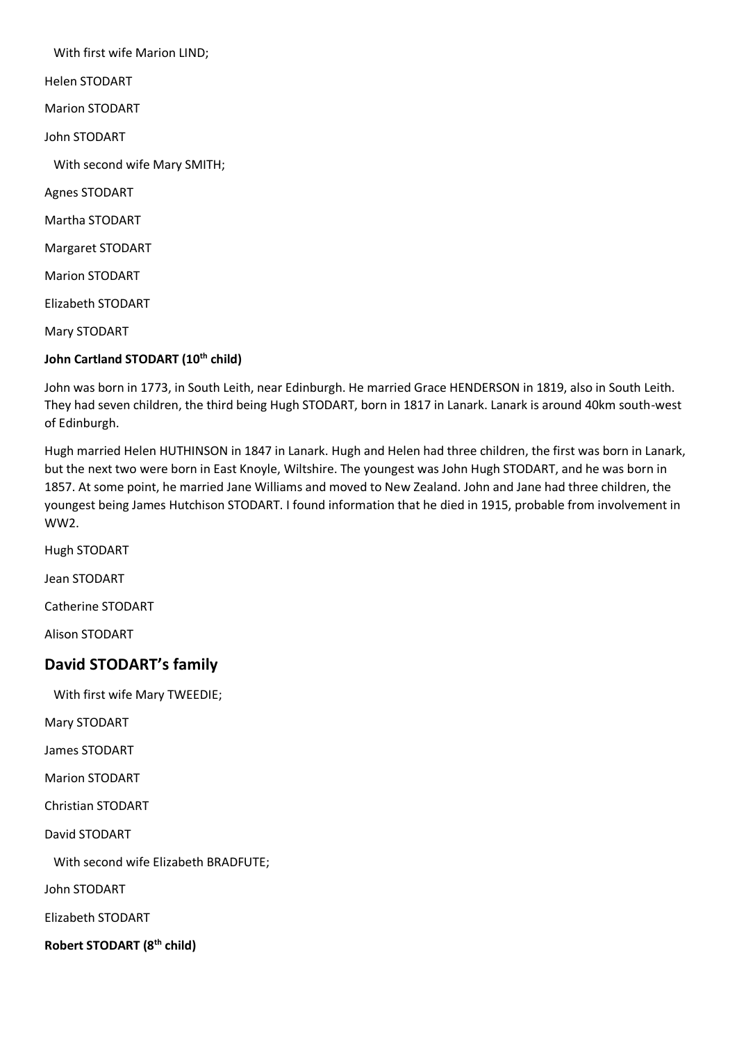With first wife Marion LIND; Helen STODART Marion STODART John STODART With second wife Mary SMITH; Agnes STODART Martha STODART Margaret STODART Marion STODART Elizabeth STODART Mary STODART

#### **John Cartland STODART (10th child)**

John was born in 1773, in South Leith, near Edinburgh. He married Grace HENDERSON in 1819, also in South Leith. They had seven children, the third being Hugh STODART, born in 1817 in Lanark. Lanark is around 40km south-west of Edinburgh.

Hugh married Helen HUTHINSON in 1847 in Lanark. Hugh and Helen had three children, the first was born in Lanark, but the next two were born in East Knoyle, Wiltshire. The youngest was John Hugh STODART, and he was born in 1857. At some point, he married Jane Williams and moved to New Zealand. John and Jane had three children, the youngest being James Hutchison STODART. I found information that he died in 1915, probable from involvement in WW2.

Hugh STODART

Jean STODART

Catherine STODART

Alison STODART

#### **David STODART's family**

With first wife Mary TWEEDIE;

Mary STODART

James STODART

Marion STODART

Christian STODART

David STODART

With second wife Elizabeth BRADFUTE;

John STODART

Elizabeth STODART

**Robert STODART (8th child)**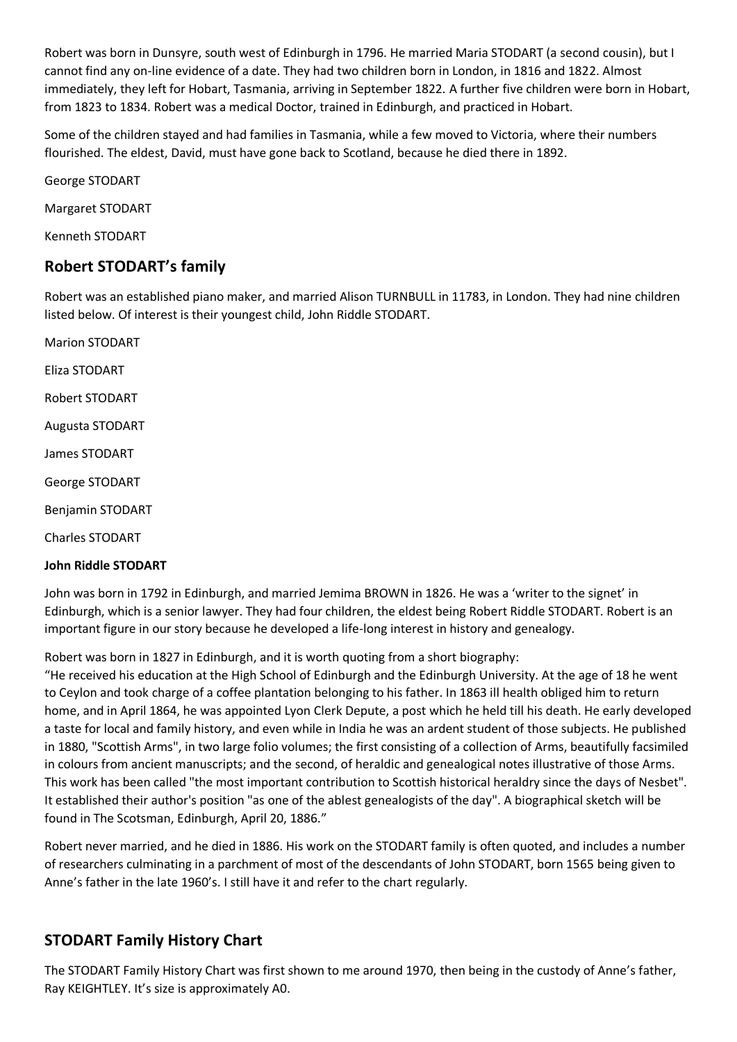Robert was born in Dunsyre, south west of Edinburgh in 1796. He married Maria STODART (a second cousin), but I cannot find any on-line evidence of a date. They had two children born in London, in 1816 and 1822. Almost immediately, they left for Hobart, Tasmania, arriving in September 1822. A further five children were born in Hobart, from 1823 to 1834. Robert was a medical Doctor, trained in Edinburgh, and practiced in Hobart.

Some of the children stayed and had families in Tasmania, while a few moved to Victoria, where their numbers flourished. The eldest, David, must have gone back to Scotland, because he died there in 1892.

George STODART Margaret STODART Kenneth STODART

### **Robert STODART's family**

Robert was an established piano maker, and married Alison TURNBULL in 11783, in London. They had nine children listed below. Of interest is their youngest child, John Riddle STODART.

Marion STODART Eliza STODART Robert STODART Augusta STODART James STODART George STODART Benjamin STODART Charles STODART

#### **John Riddle STODART**

John was born in 1792 in Edinburgh, and married Jemima BROWN in 1826. He was a 'writer to the signet' in Edinburgh, which is a senior lawyer. They had four children, the eldest being Robert Riddle STODART. Robert is an important figure in our story because he developed a life-long interest in history and genealogy.

Robert was born in 1827 in Edinburgh, and it is worth quoting from a short biography:

"He received his education at the High School of Edinburgh and the Edinburgh University. At the age of 18 he went to Ceylon and took charge of a coffee plantation belonging to his father. In 1863 ill health obliged him to return home, and in April 1864, he was appointed Lyon Clerk Depute, a post which he held till his death. He early developed a taste for local and family history, and even while in India he was an ardent student of those subjects. He published in 1880, "Scottish Arms", in two large folio volumes; the first consisting of a collection of Arms, beautifully facsimiled in colours from ancient manuscripts; and the second, of heraldic and genealogical notes illustrative of those Arms. This work has been called "the most important contribution to Scottish historical heraldry since the days of Nesbet". It established their author's position "as one of the ablest genealogists of the day". A biographical sketch will be found in The Scotsman, Edinburgh, April 20, 1886."

Robert never married, and he died in 1886. His work on the STODART family is often quoted, and includes a number of researchers culminating in a parchment of most of the descendants of John STODART, born 1565 being given to Anne's father in the late 1960's. I still have it and refer to the chart regularly.

#### **STODART Family History Chart**

The STODART Family History Chart was first shown to me around 1970, then being in the custody of Anne's father, Ray KEIGHTLEY. It's size is approximately A0.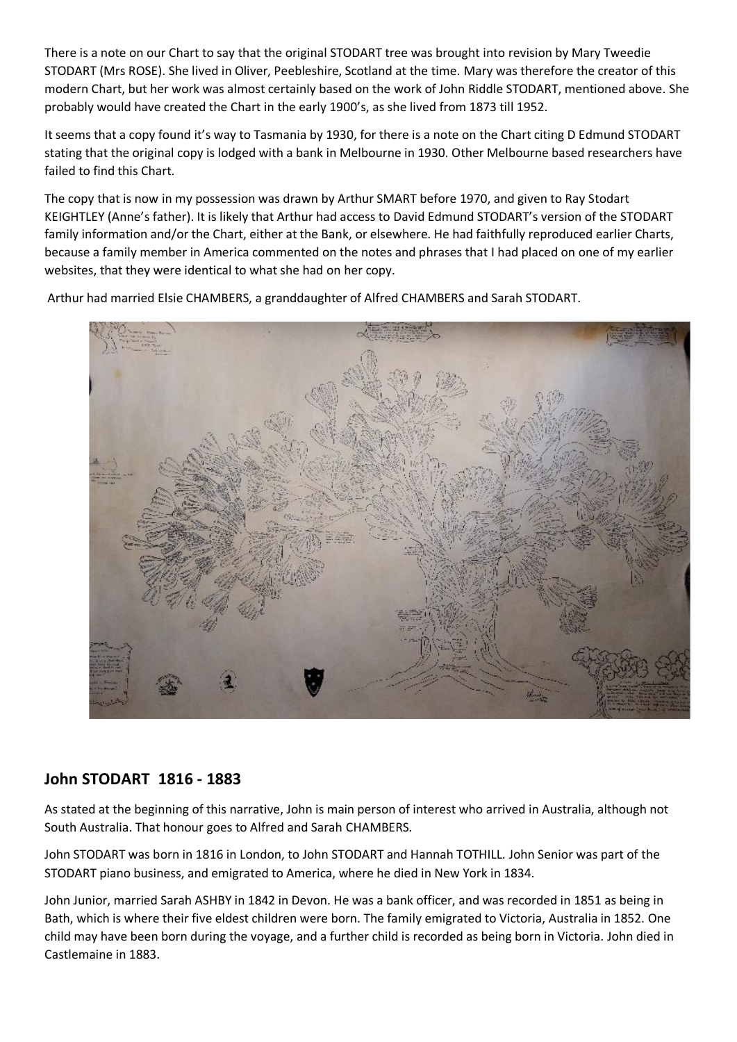There is a note on our Chart to say that the original STODART tree was brought into revision by Mary Tweedie STODART (Mrs ROSE). She lived in Oliver, Peebleshire, Scotland at the time. Mary was therefore the creator of this modern Chart, but her work was almost certainly based on the work of John Riddle STODART, mentioned above. She probably would have created the Chart in the early 1900's, as she lived from 1873 till 1952.

It seems that a copy found it's way to Tasmania by 1930, for there is a note on the Chart citing D Edmund STODART stating that the original copy is lodged with a bank in Melbourne in 1930. Other Melbourne based researchers have failed to find this Chart.

The copy that is now in my possession was drawn by Arthur SMART before 1970, and given to Ray Stodart KEIGHTLEY (Anne's father). It is likely that Arthur had access to David Edmund STODART's version of the STODART family information and/or the Chart, either at the Bank, or elsewhere. He had faithfully reproduced earlier Charts, because a family member in America commented on the notes and phrases that I had placed on one of my earlier websites, that they were identical to what she had on her copy.

Arthur had married Elsie CHAMBERS, a granddaughter of Alfred CHAMBERS and Sarah STODART.

#### **John STODART 1816 - 1883**

As stated at the beginning of this narrative, John is main person of interest who arrived in Australia, although not South Australia. That honour goes to Alfred and Sarah CHAMBERS.

John STODART was born in 1816 in London, to John STODART and Hannah TOTHILL. John Senior was part of the STODART piano business, and emigrated to America, where he died in New York in 1834.

John Junior, married Sarah ASHBY in 1842 in Devon. He was a bank officer, and was recorded in 1851 as being in Bath, which is where their five eldest children were born. The family emigrated to Victoria, Australia in 1852. One child may have been born during the voyage, and a further child is recorded as being born in Victoria. John died in Castlemaine in 1883.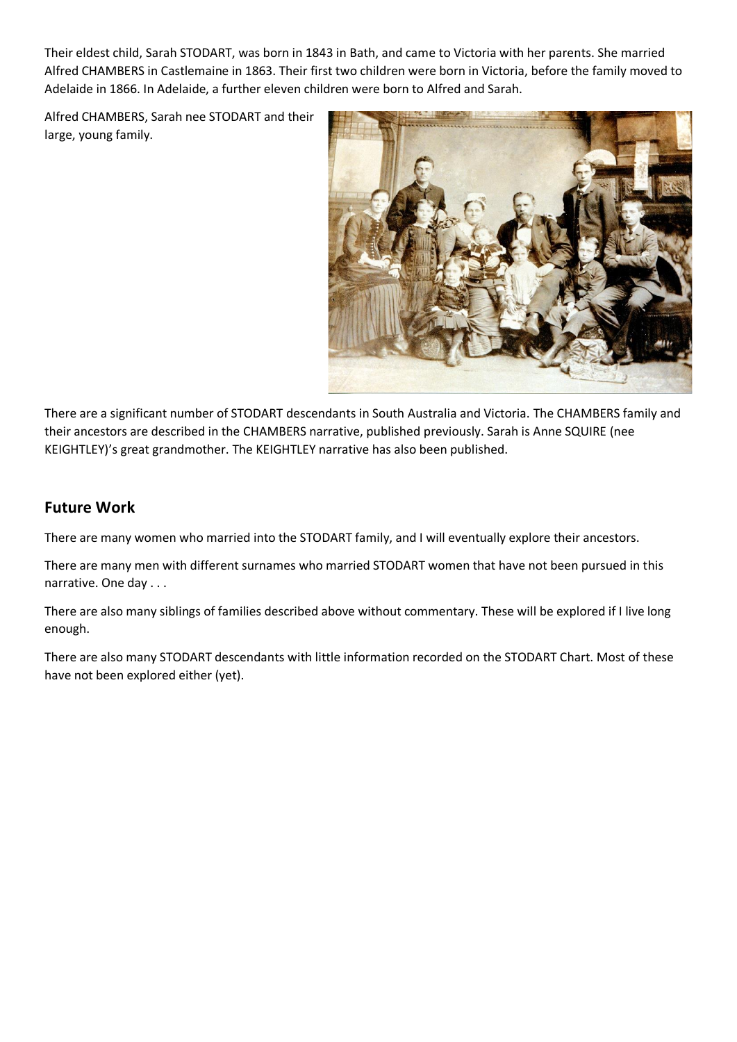Their eldest child, Sarah STODART, was born in 1843 in Bath, and came to Victoria with her parents. She married Alfred CHAMBERS in Castlemaine in 1863. Their first two children were born in Victoria, before the family moved to Adelaide in 1866. In Adelaide, a further eleven children were born to Alfred and Sarah.

Alfred CHAMBERS, Sarah nee STODART and their large, young family.



There are a significant number of STODART descendants in South Australia and Victoria. The CHAMBERS family and their ancestors are described in the CHAMBERS narrative, published previously. Sarah is Anne SQUIRE (nee KEIGHTLEY)'s great grandmother. The KEIGHTLEY narrative has also been published.

#### **Future Work**

There are many women who married into the STODART family, and I will eventually explore their ancestors.

There are many men with different surnames who married STODART women that have not been pursued in this narrative. One day . . .

There are also many siblings of families described above without commentary. These will be explored if I live long enough.

There are also many STODART descendants with little information recorded on the STODART Chart. Most of these have not been explored either (yet).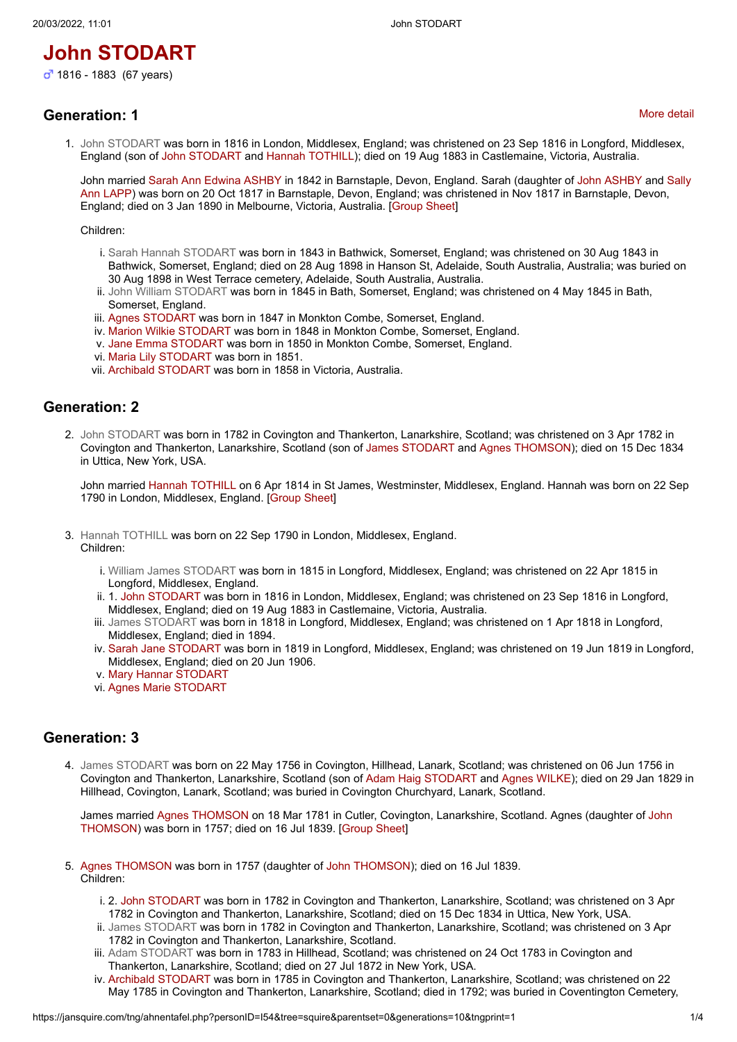## **John STODART**

o<sup>7</sup> 1816 - 1883 (67 years)

#### **Generation: 1**

[More detail](https://jansquire.com/tng/ahnentafel.php?personID=I54&tree=squire&parentset=0&generations=10&tngmore=1)

1. [John STODART](https://jansquire.com/tng/getperson.php?personID=I54&tree=squire) was born in 1816 in London, Middlesex, England; was christened on 23 Sep 1816 in Longford, Middlesex, England (son of John STODART and Hannah TOTHILL); died on 19 Aug 1883 in Castlemaine, Victoria, Australia.

John married [Sarah Ann Edwina ASHBY](https://jansquire.com/tng/getperson.php?personID=I55&tree=squire) in 1842 in Barnstaple, Devon, England. Sarah (daughter of John ASHBY and Sally Ann LAPP) was born on 20 Oct 1817 in Barnstaple, Devon, England; was christened in Nov 1817 in Barnstaple, Devon, England; died on 3 Jan 1890 in Melbourne, Victoria, Australia. [\[Group Sheet](https://jansquire.com/tng/familygroup.php?familyID=F20&tree=squire)]

Children:

- i. [Sarah Hannah STODART](https://jansquire.com/tng/getperson.php?personID=I11&tree=squire) was born in 1843 in Bathwick, Somerset, England; was christened on 30 Aug 1843 in Bathwick, Somerset, England; died on 28 Aug 1898 in Hanson St, Adelaide, South Australia, Australia; was buried on 30 Aug 1898 in West Terrace cemetery, Adelaide, South Australia, Australia.
- ii. [John William STODART](https://jansquire.com/tng/getperson.php?personID=I165&tree=squire) was born in 1845 in Bath, Somerset, England; was christened on 4 May 1845 in Bath, Somerset, England.
- iii. [Agnes STODART](https://jansquire.com/tng/getperson.php?personID=I166&tree=squire) was born in 1847 in Monkton Combe, Somerset, England.
- iv. [Marion Wilkie STODART](https://jansquire.com/tng/getperson.php?personID=I168&tree=squire) was born in 1848 in Monkton Combe, Somerset, England.
- v. [Jane Emma STODART](https://jansquire.com/tng/getperson.php?personID=I170&tree=squire) was born in 1850 in Monkton Combe, Somerset, England.
- vi. [Maria Lily STODART](https://jansquire.com/tng/getperson.php?personID=I172&tree=squire) was born in 1851.
- vii. [Archibald STODART](https://jansquire.com/tng/getperson.php?personID=I174&tree=squire) was born in 1858 in Victoria, Australia.

#### **Generation: 2**

2. [John STODART](https://jansquire.com/tng/getperson.php?personID=I56&tree=squire) was born in 1782 in Covington and Thankerton, Lanarkshire, Scotland; was christened on 3 Apr 1782 in Covington and Thankerton, Lanarkshire, Scotland (son of James STODART and Agnes THOMSON); died on 15 Dec 1834 in Uttica, New York, USA.

John married Hannah TOTHILL on 6 Apr 1814 in St James, Westminster, Middlesex, England. Hannah was born on 22 Sep 1790 in London, Middlesex, England. [\[Group Sheet](https://jansquire.com/tng/familygroup.php?familyID=F21&tree=squire)]

- 3. [Hannah TOTHILL](https://jansquire.com/tng/getperson.php?personID=I57&tree=squire) was born on 22 Sep 1790 in London, Middlesex, England. Children:
	- i. [William James STODART](https://jansquire.com/tng/getperson.php?personID=I155&tree=squire) was born in 1815 in Longford, Middlesex, England; was christened on 22 Apr 1815 in Longford, Middlesex, England.
	- ii. 1. John STODART was born in 1816 in London, Middlesex, England; was christened on 23 Sep 1816 in Longford, Middlesex, England; died on 19 Aug 1883 in Castlemaine, Victoria, Australia.
	- iii. [James STODART](https://jansquire.com/tng/getperson.php?personID=I159&tree=squire) was born in 1818 in Longford, Middlesex, England; was christened on 1 Apr 1818 in Longford, Middlesex, England; died in 1894.
	- iv. [Sarah Jane STODART](https://jansquire.com/tng/getperson.php?personID=I161&tree=squire) was born in 1819 in Longford, Middlesex, England; was christened on 19 Jun 1819 in Longford, Middlesex, England; died on 20 Jun 1906.
	- v. [Mary Hannar STODART](https://jansquire.com/tng/getperson.php?personID=I163&tree=squire)
	- vi. [Agnes Marie STODART](https://jansquire.com/tng/getperson.php?personID=I162&tree=squire)

#### **Generation: 3**

4. [James STODART](https://jansquire.com/tng/getperson.php?personID=I58&tree=squire) was born on 22 May 1756 in Covington, Hillhead, Lanark, Scotland; was christened on 06 Jun 1756 in Covington and Thankerton, Lanarkshire, Scotland (son of Adam Haig STODART and Agnes WILKE); died on 29 Jan 1829 in Hillhead, Covington, Lanark, Scotland; was buried in Covington Churchyard, Lanark, Scotland.

James married Agnes THOMSON on 18 Mar 1781 in Cutler, Covington, Lanarkshire, Scotland. Agnes (daughter of John THOMSON) was born in 1757; died on 16 Jul 1839. [\[Group Sheet\]](https://jansquire.com/tng/familygroup.php?familyID=F22&tree=squire)

- 5. [Agnes THOMSON](https://jansquire.com/tng/getperson.php?personID=I59&tree=squire) was born in 1757 (daughter of John THOMSON); died on 16 Jul 1839. Children:
	- i. 2. John STODART was born in 1782 in Covington and Thankerton, Lanarkshire, Scotland; was christened on 3 Apr 1782 in Covington and Thankerton, Lanarkshire, Scotland; died on 15 Dec 1834 in Uttica, New York, USA.
	- ii. [James STODART](https://jansquire.com/tng/getperson.php?personID=I3506&tree=squire) was born in 1782 in Covington and Thankerton, Lanarkshire, Scotland; was christened on 3 Apr 1782 in Covington and Thankerton, Lanarkshire, Scotland.
	- iii. [Adam STODART](https://jansquire.com/tng/getperson.php?personID=I144&tree=squire) was born in 1783 in Hillhead, Scotland; was christened on 24 Oct 1783 in Covington and Thankerton, Lanarkshire, Scotland; died on 27 Jul 1872 in New York, USA.
	- iv. [Archibald STODART](https://jansquire.com/tng/getperson.php?personID=I147&tree=squire) was born in 1785 in Covington and Thankerton, Lanarkshire, Scotland; was christened on 22 May 1785 in Covington and Thankerton, Lanarkshire, Scotland; died in 1792; was buried in Coventington Cemetery,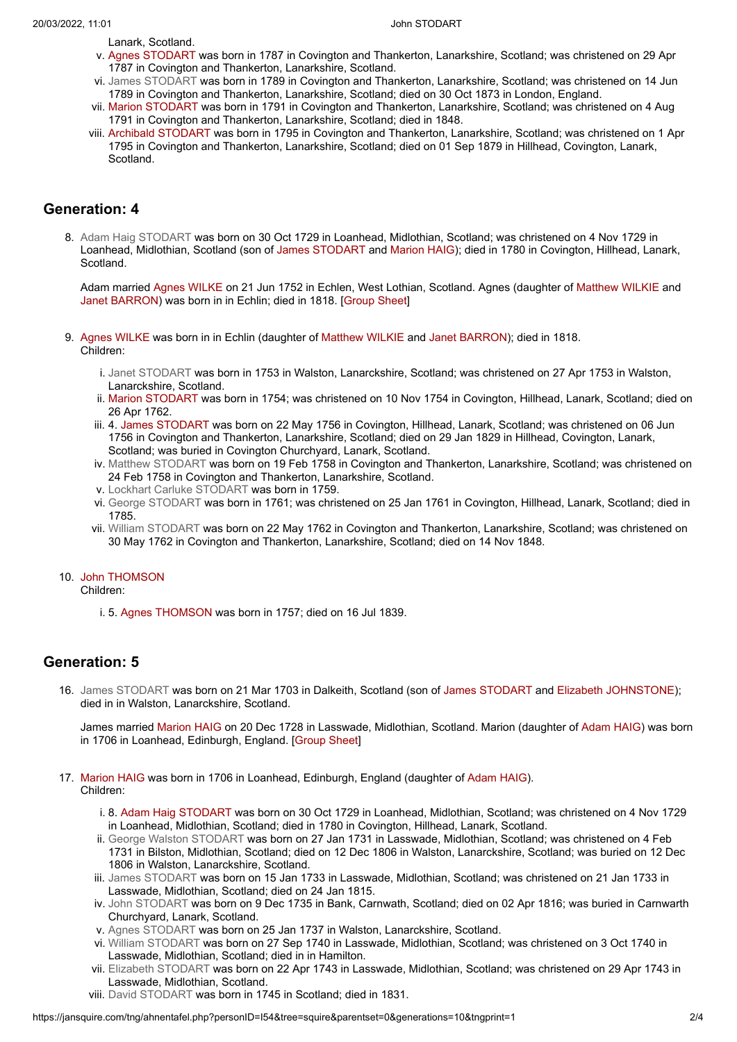Lanark, Scotland.

- v. [Agnes STODART](https://jansquire.com/tng/getperson.php?personID=I148&tree=squire) was born in 1787 in Covington and Thankerton, Lanarkshire, Scotland; was christened on 29 Apr 1787 in Covington and Thankerton, Lanarkshire, Scotland.
- vi. [James STODART](https://jansquire.com/tng/getperson.php?personID=I149&tree=squire) was born in 1789 in Covington and Thankerton, Lanarkshire, Scotland; was christened on 14 Jun 1789 in Covington and Thankerton, Lanarkshire, Scotland; died on 30 Oct 1873 in London, England.
- vii. [Marion STODART](https://jansquire.com/tng/getperson.php?personID=I151&tree=squire) was born in 1791 in Covington and Thankerton, Lanarkshire, Scotland; was christened on 4 Aug 1791 in Covington and Thankerton, Lanarkshire, Scotland; died in 1848.
- viii. [Archibald STODART](https://jansquire.com/tng/getperson.php?personID=I153&tree=squire) was born in 1795 in Covington and Thankerton, Lanarkshire, Scotland; was christened on 1 Apr 1795 in Covington and Thankerton, Lanarkshire, Scotland; died on 01 Sep 1879 in Hillhead, Covington, Lanark, Scotland.

#### **Generation: 4**

8. [Adam Haig STODART](https://jansquire.com/tng/getperson.php?personID=I60&tree=squire) was born on 30 Oct 1729 in Loanhead, Midlothian, Scotland; was christened on 4 Nov 1729 in Loanhead, Midlothian, Scotland (son of James STODART and Marion HAIG); died in 1780 in Covington, Hillhead, Lanark, Scotland.

Adam married Agnes WILKE on 21 Jun 1752 in Echlen, West Lothian, Scotland. Agnes (daughter of Matthew WILKIE and Janet BARRON) was born in in Echlin; died in 1818. [\[Group Sheet](https://jansquire.com/tng/familygroup.php?familyID=F23&tree=squire)]

- 9. [Agnes WILKE](https://jansquire.com/tng/getperson.php?personID=I61&tree=squire) was born in in Echlin (daughter of Matthew WILKIE and Janet BARRON); died in 1818. Children:
	- i. [Janet STODART](https://jansquire.com/tng/getperson.php?personID=I133&tree=squire) was born in 1753 in Walston, Lanarckshire, Scotland; was christened on 27 Apr 1753 in Walston, Lanarckshire, Scotland.
	- ii. [Marion STODART](https://jansquire.com/tng/getperson.php?personID=I135&tree=squire) was born in 1754; was christened on 10 Nov 1754 in Covington, Hillhead, Lanark, Scotland; died on 26 Apr 1762.
	- iii. 4. James STODART was born on 22 May 1756 in Covington, Hillhead, Lanark, Scotland; was christened on 06 Jun 1756 in Covington and Thankerton, Lanarkshire, Scotland; died on 29 Jan 1829 in Hillhead, Covington, Lanark, Scotland; was buried in Covington Churchyard, Lanark, Scotland.
	- iv. [Matthew STODART](https://jansquire.com/tng/getperson.php?personID=I136&tree=squire) was born on 19 Feb 1758 in Covington and Thankerton, Lanarkshire, Scotland; was christened on 24 Feb 1758 in Covington and Thankerton, Lanarkshire, Scotland.
	- v. [Lockhart Carluke STODART](https://jansquire.com/tng/getperson.php?personID=I139&tree=squire) was born in 1759.
	- vi. [George STODART](https://jansquire.com/tng/getperson.php?personID=I141&tree=squire) was born in 1761; was christened on 25 Jan 1761 in Covington, Hillhead, Lanark, Scotland; died in 1785.
	- vii. [William STODART](https://jansquire.com/tng/getperson.php?personID=I142&tree=squire) was born on 22 May 1762 in Covington and Thankerton, Lanarkshire, Scotland; was christened on 30 May 1762 in Covington and Thankerton, Lanarkshire, Scotland; died on 14 Nov 1848.

#### 10. [John THOMSON](https://jansquire.com/tng/getperson.php?personID=I2889&tree=squire)

Children:

i. 5. Agnes THOMSON was born in 1757; died on 16 Jul 1839.

#### **Generation: 5**

16. [James STODART](https://jansquire.com/tng/getperson.php?personID=I62&tree=squire) was born on 21 Mar 1703 in Dalkeith, Scotland (son of James STODART and Elizabeth JOHNSTONE); died in in Walston, Lanarckshire, Scotland.

James married Marion HAIG on 20 Dec 1728 in Lasswade, Midlothian, Scotland. Marion (daughter of Adam HAIG) was born in 1706 in Loanhead, Edinburgh, England. [\[Group Sheet](https://jansquire.com/tng/familygroup.php?familyID=F24&tree=squire)]

- 17. [Marion HAIG](https://jansquire.com/tng/getperson.php?personID=I63&tree=squire) was born in 1706 in Loanhead, Edinburgh, England (daughter of Adam HAIG). Children:
	- i. 8. Adam Haig STODART was born on 30 Oct 1729 in Loanhead, Midlothian, Scotland; was christened on 4 Nov 1729 in Loanhead, Midlothian, Scotland; died in 1780 in Covington, Hillhead, Lanark, Scotland.
	- ii. [George Walston STODART](https://jansquire.com/tng/getperson.php?personID=I116&tree=squire) was born on 27 Jan 1731 in Lasswade, Midlothian, Scotland; was christened on 4 Feb 1731 in Bilston, Midlothian, Scotland; died on 12 Dec 1806 in Walston, Lanarckshire, Scotland; was buried on 12 Dec 1806 in Walston, Lanarckshire, Scotland.
	- iii. [James STODART](https://jansquire.com/tng/getperson.php?personID=I118&tree=squire) was born on 15 Jan 1733 in Lasswade, Midlothian, Scotland; was christened on 21 Jan 1733 in Lasswade, Midlothian, Scotland; died on 24 Jan 1815.
	- iv. [John STODART](https://jansquire.com/tng/getperson.php?personID=I119&tree=squire) was born on 9 Dec 1735 in Bank, Carnwath, Scotland; died on 02 Apr 1816; was buried in Carnwarth Churchyard, Lanark, Scotland.
	- v. [Agnes STODART](https://jansquire.com/tng/getperson.php?personID=I122&tree=squire) was born on 25 Jan 1737 in Walston, Lanarckshire, Scotland.
	- vi. [William STODART](https://jansquire.com/tng/getperson.php?personID=I124&tree=squire) was born on 27 Sep 1740 in Lasswade, Midlothian, Scotland; was christened on 3 Oct 1740 in Lasswade, Midlothian, Scotland; died in in Hamilton.
	- vii. [Elizabeth STODART](https://jansquire.com/tng/getperson.php?personID=I126&tree=squire) was born on 22 Apr 1743 in Lasswade, Midlothian, Scotland; was christened on 29 Apr 1743 in Lasswade, Midlothian, Scotland.
	- viii. [David STODART](https://jansquire.com/tng/getperson.php?personID=I128&tree=squire) was born in 1745 in Scotland; died in 1831.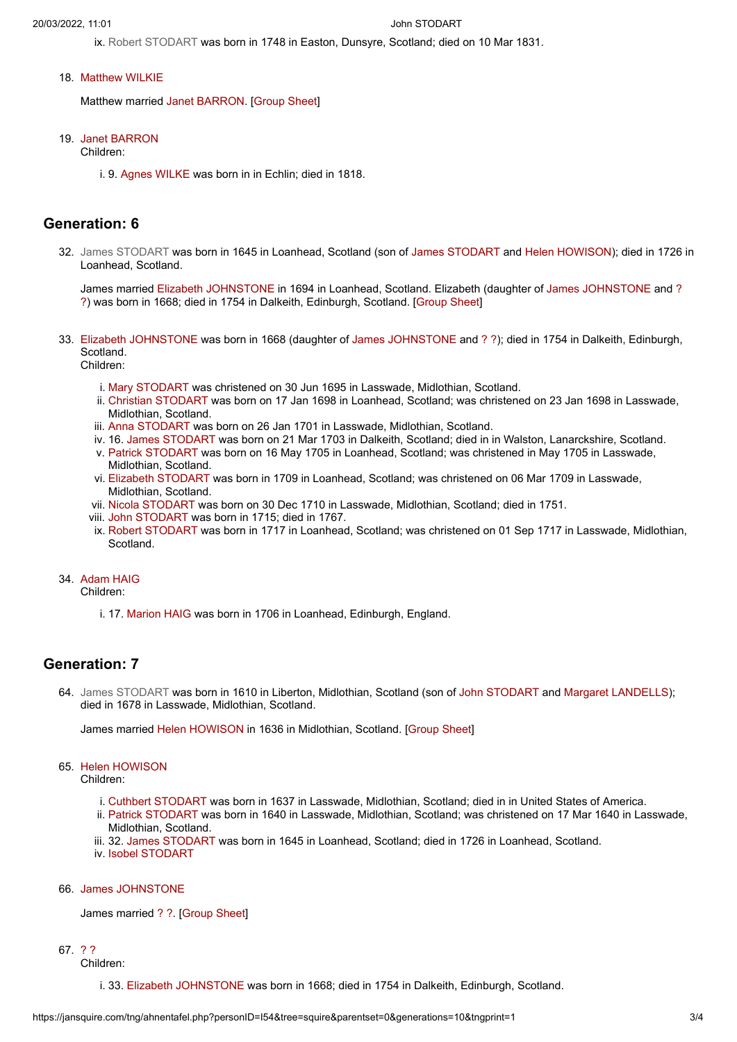ix. [Robert STODART](https://jansquire.com/tng/getperson.php?personID=I131&tree=squire) was born in 1748 in Easton, Dunsyre, Scotland; died on 10 Mar 1831.

18. [Matthew WILKIE](https://jansquire.com/tng/getperson.php?personID=I820&tree=squire)

Matthew married Janet BARRON. [\[Group Sheet](https://jansquire.com/tng/familygroup.php?familyID=F263&tree=squire)]

19. [Janet BARRON](https://jansquire.com/tng/getperson.php?personID=I821&tree=squire)

Children:

i. 9. Agnes WILKE was born in in Echlin; died in 1818.

#### **Generation: 6**

32. [James STODART](https://jansquire.com/tng/getperson.php?personID=I102&tree=squire) was born in 1645 in Loanhead, Scotland (son of James STODART and Helen HOWISON); died in 1726 in Loanhead, Scotland.

James married Elizabeth JOHNSTONE in 1694 in Loanhead, Scotland. Elizabeth (daughter of James JOHNSTONE and ? ?) was born in 1668; died in 1754 in Dalkeith, Edinburgh, Scotland. [[Group Sheet\]](https://jansquire.com/tng/familygroup.php?familyID=F40&tree=squire)

33. [Elizabeth JOHNSTONE](https://jansquire.com/tng/getperson.php?personID=I103&tree=squire) was born in 1668 (daughter of James JOHNSTONE and ? ?); died in 1754 in Dalkeith, Edinburgh, Scotland.

Children:

- i. [Mary STODART](https://jansquire.com/tng/getperson.php?personID=I104&tree=squire) was christened on 30 Jun 1695 in Lasswade, Midlothian, Scotland.
- ii. [Christian STODART](https://jansquire.com/tng/getperson.php?personID=I106&tree=squire) was born on 17 Jan 1698 in Loanhead, Scotland; was christened on 23 Jan 1698 in Lasswade, Midlothian, Scotland.
- iii. [Anna STODART](https://jansquire.com/tng/getperson.php?personID=I107&tree=squire) was born on 26 Jan 1701 in Lasswade, Midlothian, Scotland.
- iv. 16. James STODART was born on 21 Mar 1703 in Dalkeith, Scotland; died in in Walston, Lanarckshire, Scotland.
- v. [Patrick STODART](https://jansquire.com/tng/getperson.php?personID=I109&tree=squire) was born on 16 May 1705 in Loanhead, Scotland; was christened in May 1705 in Lasswade, Midlothian, Scotland.
- vi. [Elizabeth STODART](https://jansquire.com/tng/getperson.php?personID=I110&tree=squire) was born in 1709 in Loanhead, Scotland; was christened on 06 Mar 1709 in Lasswade, Midlothian, Scotland.
- vii. [Nicola STODART](https://jansquire.com/tng/getperson.php?personID=I112&tree=squire) was born on 30 Dec 1710 in Lasswade, Midlothian, Scotland; died in 1751.
- viii. [John STODART](https://jansquire.com/tng/getperson.php?personID=I114&tree=squire) was born in 1715; died in 1767.
- ix. [Robert STODART](https://jansquire.com/tng/getperson.php?personID=I115&tree=squire) was born in 1717 in Loanhead, Scotland; was christened on 01 Sep 1717 in Lasswade, Midlothian, Scotland.

#### 34. [Adam HAIG](https://jansquire.com/tng/getperson.php?personID=I2848&tree=squire)

Children:

i. 17. Marion HAIG was born in 1706 in Loanhead, Edinburgh, England.

#### **Generation: 7**

64. [James STODART](https://jansquire.com/tng/getperson.php?personID=I97&tree=squire) was born in 1610 in Liberton, Midlothian, Scotland (son of John STODART and Margaret LANDELLS); died in 1678 in Lasswade, Midlothian, Scotland.

James married Helen HOWISON in 1636 in Midlothian, Scotland. [[Group Sheet\]](https://jansquire.com/tng/familygroup.php?familyID=F38&tree=squire)

#### 65. [Helen HOWISON](https://jansquire.com/tng/getperson.php?personID=I98&tree=squire)

Children:

- i. [Cuthbert STODART](https://jansquire.com/tng/getperson.php?personID=I99&tree=squire) was born in 1637 in Lasswade, Midlothian, Scotland; died in in United States of America.
- ii. [Patrick STODART](https://jansquire.com/tng/getperson.php?personID=I100&tree=squire) was born in 1640 in Lasswade, Midlothian, Scotland; was christened on 17 Mar 1640 in Lasswade, Midlothian, Scotland.
- iii. 32. James STODART was born in 1645 in Loanhead, Scotland; died in 1726 in Loanhead, Scotland.
- iv. [Isobel STODART](https://jansquire.com/tng/getperson.php?personID=I4606&tree=squire)

66. [James JOHNSTONE](https://jansquire.com/tng/getperson.php?personID=I1764&tree=squire)

James married ? ?. [\[Group Sheet](https://jansquire.com/tng/familygroup.php?familyID=F530&tree=squire)]

#### 67. [? ?](https://jansquire.com/tng/getperson.php?personID=I1765&tree=squire)

Children:

i. 33. Elizabeth JOHNSTONE was born in 1668; died in 1754 in Dalkeith, Edinburgh, Scotland.